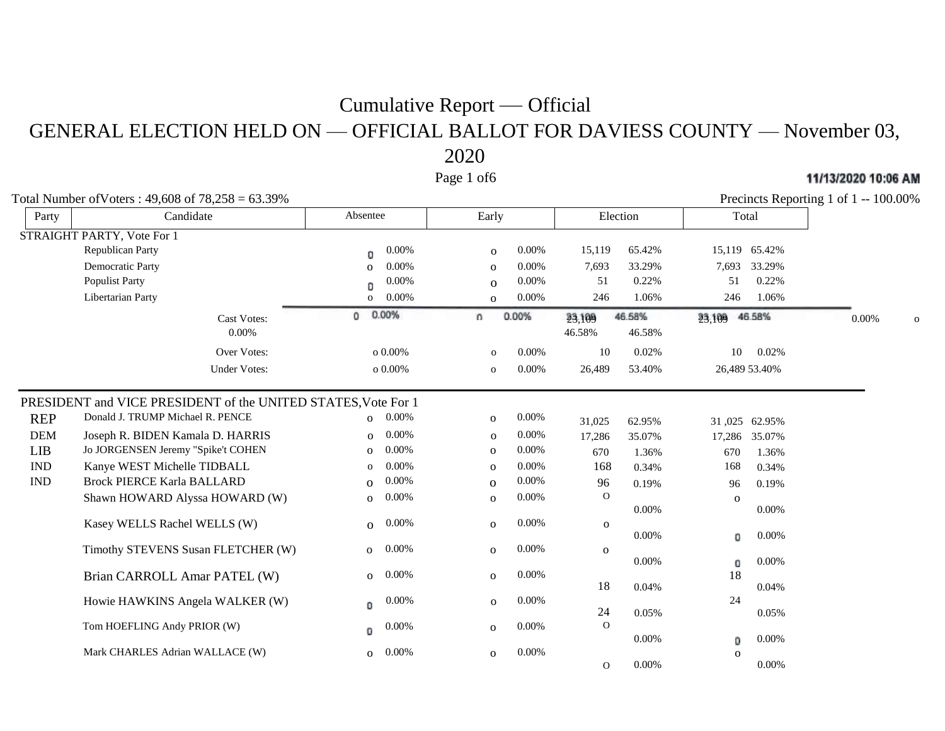GENERAL ELECTION HELD ON — OFFICIAL BALLOT FOR DAVIESS COUNTY — November 03, 2020

Page 1 of6

Total Number of Voters :  $49.608$  of  $78.258 = 63.39\%$ 

| Party      | Candidate                                                     | Absentee                 | Early                    | Election                             | Total                |       |
|------------|---------------------------------------------------------------|--------------------------|--------------------------|--------------------------------------|----------------------|-------|
|            | STRAIGHT PARTY, Vote For 1                                    |                          |                          |                                      |                      |       |
|            | <b>Republican Party</b>                                       | 0.00%<br>0               | 0.00%<br>$\mathbf{o}$    | 65.42%<br>15,119                     | 15,119 65.42%        |       |
|            | Democratic Party                                              | 0.00%<br>$\mathbf{O}$    | 0.00%<br>$\mathbf{O}$    | 7,693<br>33.29%                      | 7,693<br>33.29%      |       |
|            | <b>Populist Party</b>                                         | 0.00%<br>Đ               | 0.00%<br>$\Omega$        | 51<br>0.22%                          | 51<br>0.22%          |       |
|            | Libertarian Party                                             | 0.00%<br>$\mathbf{O}$    | $0.00\%$<br>$\mathbf{O}$ | 246<br>1.06%                         | 246<br>1.06%         |       |
|            | Cast Votes:<br>0.00%                                          | 0.00%<br>0               | 0.00%<br>n               | 46.58%<br>23,109<br>46.58%<br>46.58% | 46.58%<br>23,109     | 0.00% |
|            | Over Votes:                                                   | o $0.00\%$               | 0.00%<br>$\mathbf{O}$    | 10<br>0.02%                          | 0.02%<br>10          |       |
|            | <b>Under Votes:</b>                                           | $0.00\%$                 | 0.00%<br>$\mathbf 0$     | 26,489<br>53.40%                     | 26,489 53.40%        |       |
|            | PRESIDENT and VICE PRESIDENT of the UNITED STATES, Vote For 1 |                          |                          |                                      |                      |       |
| <b>REP</b> | Donald J. TRUMP Michael R. PENCE                              | $0.00\%$<br>$\Omega$     | 0.00%<br>$\mathbf{O}$    | 31,025<br>62.95%                     | 31,025 62.95%        |       |
| <b>DEM</b> | Joseph R. BIDEN Kamala D. HARRIS                              | 0.00%<br>$\Omega$        | 0.00%<br>$\mathbf{O}$    | 17,286<br>35.07%                     | 17,286 35.07%        |       |
| LIB        | Jo JORGENSEN Jeremy "Spike't COHEN                            | 0.00%<br>$\Omega$        | 0.00%<br>$\mathbf 0$     | 670<br>1.36%                         | 1.36%<br>670         |       |
| <b>IND</b> | Kanye WEST Michelle TIDBALL                                   | 0.00%<br>$\mathbf 0$     | 0.00%<br>$\mathbf{o}$    | 168<br>0.34%                         | 168<br>0.34%         |       |
| IND        | <b>Brock PIERCE Karla BALLARD</b>                             | 0.00%<br>$\Omega$        | 0.00%<br>$\mathbf{O}$    | 96<br>0.19%                          | 0.19%<br>96          |       |
|            | Shawn HOWARD Alyssa HOWARD (W)                                | $0.00\%$<br>$\mathbf{o}$ | 0.00%<br>$\mathbf{O}$    | $\Omega$<br>0.00%                    | $\Omega$<br>0.00%    |       |
|            | Kasey WELLS Rachel WELLS (W)                                  | 0.00%<br>$\Omega$        | 0.00%<br>$\mathbf 0$     | $\mathbf 0$<br>0.00%                 | 0.00%<br>0           |       |
|            | Timothy STEVENS Susan FLETCHER (W)                            | 0.00%<br>$\overline{O}$  | 0.00%<br>$\mathbf{o}$    | $\mathbf 0$<br>0.00%                 | 0.00%<br>0           |       |
|            | Brian CARROLL Amar PATEL (W)                                  | 0.00%<br>$\mathbf{o}$    | 0.00%<br>$\mathbf{o}$    | 18<br>0.04%                          | 18<br>0.04%          |       |
|            | Howie HAWKINS Angela WALKER (W)                               | 0.00%<br>O               | 0.00%<br>$\mathbf{O}$    | 24<br>0.05%                          | 24<br>0.05%          |       |
|            | Tom HOEFLING Andy PRIOR (W)                                   | 0.00%<br>0               | 0.00%<br>$\mathbf{o}$    | $\Omega$<br>0.00%                    | 0.00%<br>0           |       |
|            | Mark CHARLES Adrian WALLACE (W)                               | 0.00%<br>$\mathbf 0$     | 0.00%<br>$\mathbf 0$     | 0.00%<br>$\Omega$                    | $\Omega$<br>$0.00\%$ |       |

11/13/2020 10:06 AM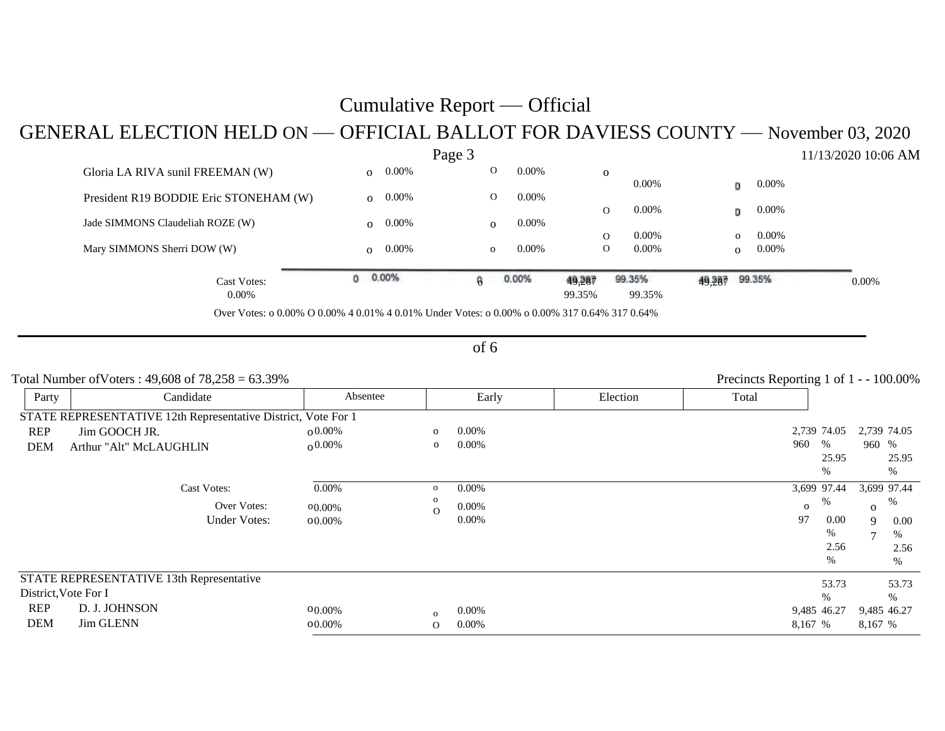## GENERAL ELECTION HELD ON — OFFICIAL BALLOT FOR DAVIESS COUNTY — November 03, 2020

|                                                                                              |          |          | Page 3 |              |          |          |              |          |        |          |          | 11/13/2020 10:06 AM |
|----------------------------------------------------------------------------------------------|----------|----------|--------|--------------|----------|----------|--------------|----------|--------|----------|----------|---------------------|
| Gloria LA RIVA sunil FREEMAN (W)                                                             |          | $0.00\%$ |        | $\Omega$     | $0.00\%$ | $\Omega$ |              |          |        |          |          |                     |
|                                                                                              |          |          |        | $\mathbf 0$  | $0.00\%$ |          |              | $0.00\%$ |        | o        | $0.00\%$ |                     |
| President R19 BODDIE Eric STONEHAM (W)                                                       |          | $0.00\%$ |        |              |          |          | 0            | $0.00\%$ |        | o        | $0.00\%$ |                     |
| Jade SIMMONS Claudeliah ROZE (W)                                                             |          | $0.00\%$ |        | $\mathbf{O}$ | $0.00\%$ |          |              |          |        |          |          |                     |
|                                                                                              |          |          |        |              |          |          | $\Omega$     | $0.00\%$ |        | $\Omega$ | 0.00%    |                     |
| Mary SIMMONS Sherri DOW (W)                                                                  |          | $0.00\%$ |        | $\mathbf{o}$ | $0.00\%$ |          | $\mathbf{O}$ | $0.00\%$ |        | $\Omega$ | 0.00%    |                     |
| Cast Votes:                                                                                  | $0.00\%$ |          | ß      |              | 0.00%    | 49,287   |              | 99.35%   | 49,287 |          | 99.35%   | $0.00\%$            |
| $0.00\%$                                                                                     |          |          |        |              |          | 99.35%   |              | 99.35%   |        |          |          |                     |
| Over Votes: o 0.00% O 0.00% 4 0.01% 4 0.01% Under Votes: o 0.00% o 0.00% 317 0.64% 317 0.64% |          |          |        |              |          |          |              |          |        |          |          |                     |

#### of 6

|            | Total Number of Voters: $49,608$ of $78,258 = 63.39\%$        |          |                |          |          |       |                  | Precincts Reporting 1 of 1 - - 100.00% |
|------------|---------------------------------------------------------------|----------|----------------|----------|----------|-------|------------------|----------------------------------------|
| Party      | Candidate                                                     | Absentee |                | Early    | Election | Total |                  |                                        |
|            | STATE REPRESENTATIVE 12th Representative District, Vote For 1 |          |                |          |          |       |                  |                                        |
| REP        | Jim GOOCH JR.                                                 | $0.00\%$ | $\overline{O}$ | $0.00\%$ |          |       | 2,739 74.05      | 2,739 74.05                            |
| <b>DEM</b> | Arthur "Alt" McLAUGHLIN                                       | $0.00\%$ | $\mathbf{O}$   | $0.00\%$ |          |       | 960<br>%         | 960 %                                  |
|            |                                                               |          |                |          |          |       | 25.95            | 25.95                                  |
|            |                                                               |          |                |          |          |       | $\%$             | %                                      |
|            | <b>Cast Votes:</b>                                            | 0.00%    | $\mathbf{O}$   | $0.00\%$ |          |       | 3,699 97.44      | 3,699 97.44                            |
|            | Over Votes:                                                   | 00.00%   | $\Omega$       | $0.00\%$ |          |       | %<br>$\mathbf 0$ | $\%$<br>$\Omega$                       |
|            | <b>Under Votes:</b>                                           | 00.00%   |                | $0.00\%$ |          |       | 97<br>0.00       | 9<br>$0.00\,$                          |
|            |                                                               |          |                |          |          |       | %                | %<br>7                                 |
|            |                                                               |          |                |          |          |       | 2.56             | 2.56                                   |
|            |                                                               |          |                |          |          |       | %                | %                                      |
|            | STATE REPRESENTATIVE 13th Representative                      |          |                |          |          |       | 53.73            | 53.73                                  |
|            | District, Vote For I                                          |          |                |          |          |       | $\%$             | %                                      |
| REP        | D. J. JOHNSON                                                 | 00.00%   | $\Omega$       | 0.00%    |          |       | 9,485 46.27      | 9,485 46.27                            |
| <b>DEM</b> | <b>Jim GLENN</b>                                              | 00.00%   | $\Omega$       | 0.00%    |          |       | 8,167 %          | 8,167 %                                |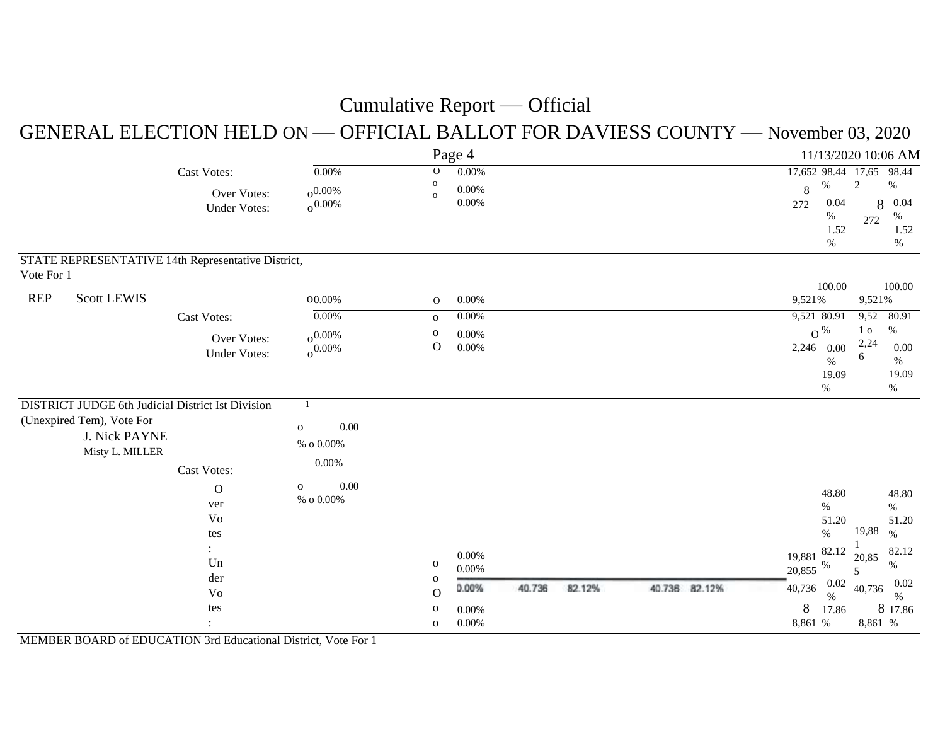#### GENERAL ELECTION HELD ON — OFFICIAL BALLOT FOR DAVIESS COUNTY — November 03, 2020

|                                                                                                                           |                    |                                                    |                                            |                                         | Page 4                        |        |        |               |                            |                                                                 |                               | 11/13/2020 10:06 AM                                             |
|---------------------------------------------------------------------------------------------------------------------------|--------------------|----------------------------------------------------|--------------------------------------------|-----------------------------------------|-------------------------------|--------|--------|---------------|----------------------------|-----------------------------------------------------------------|-------------------------------|-----------------------------------------------------------------|
|                                                                                                                           |                    | <b>Cast Votes:</b>                                 | $0.00\%$                                   | $\mathbf{O}$                            | $0.00\%$                      |        |        |               |                            |                                                                 | 17,652 98.44 17,65 98.44      |                                                                 |
|                                                                                                                           |                    | Over Votes:<br><b>Under Votes:</b>                 | $0.00\%$<br>$0.00\%$                       | $\mathbf{o}$<br>$\mathbf{o}$            | $0.00\%$<br>$0.00\%$          |        |        |               | 8<br>272                   | $\%$<br>0.04<br>%<br>1.52<br>$\%$                               | $\overline{c}$<br>8<br>272    | $\%$<br>0.04<br>%<br>1.52<br>%                                  |
| Vote For 1                                                                                                                |                    | STATE REPRESENTATIVE 14th Representative District, |                                            |                                         |                               |        |        |               |                            |                                                                 |                               |                                                                 |
| <b>REP</b>                                                                                                                | <b>Scott LEWIS</b> |                                                    | $00.00\%$                                  | $\mathbf{O}$                            | 0.00%                         |        |        |               | 9,521%                     | 100.00                                                          | 9,521%                        | 100.00                                                          |
|                                                                                                                           |                    | <b>Cast Votes:</b>                                 | 0.00%                                      | $\mathbf{o}$                            | $0.00\%$                      |        |        |               |                            | 9,521 80.91                                                     | 9,52                          | 80.91                                                           |
|                                                                                                                           |                    | Over Votes:<br><b>Under Votes:</b>                 | $0.00\%$<br>$0.00\%$                       | $\mathbf 0$<br>$\mathcal{O}$            | $0.00\%$<br>$0.00\%$          |        |        |               |                            | $\mathrm{C}$ %<br>2,246 0.00<br>$\%$<br>19.09<br>%              | 1 <sub>o</sub><br>2,24<br>6   | %<br>0.00<br>%<br>19.09<br>$\%$                                 |
|                                                                                                                           |                    |                                                    | $\mathbf{1}$                               |                                         |                               |        |        |               |                            |                                                                 |                               |                                                                 |
| <b>DISTRICT JUDGE 6th Judicial District Ist Division</b><br>(Unexpired Tem), Vote For<br>J. Nick PAYNE<br>Misty L. MILLER | Cast Votes:        | 0.00<br>$\mathbf 0$<br>$\%$ o $0.00\%$<br>$0.00\%$ |                                            |                                         |                               |        |        |               |                            |                                                                 |                               |                                                                 |
|                                                                                                                           |                    | $\mathbf O$<br>ver<br>Vo<br>tes<br>Un<br>der<br>Vo | $0.00\,$<br>$\mathbf 0$<br>$\%$ o $0.00\%$ | $\mathbf{O}$<br>$\mathbf 0$<br>$\Omega$ | $0.00\%$<br>$0.00\%$<br>0.00% | 40.736 | 82.12% | 40.736 82.12% | 19,881<br>20,855<br>40,736 | 48.80<br>$\%$<br>51.20<br>$\%$<br>82.12<br>$\%$<br>0.02<br>$\%$ | 19,88<br>20,85<br>5<br>40,736 | 48.80<br>$\%$<br>51.20<br>$\%$<br>82.12<br>$\%$<br>0.02<br>$\%$ |
|                                                                                                                           |                    | tes                                                |                                            | $\mathbf{O}$<br>$\mathbf 0$             | 0.00%<br>0.00%                |        |        |               | $8\,$<br>8,861 %           | 17.86                                                           | 8<br>8,861 %                  | 17.86                                                           |

MEMBER BOARD of EDUCATION 3rd Educational District, Vote For 1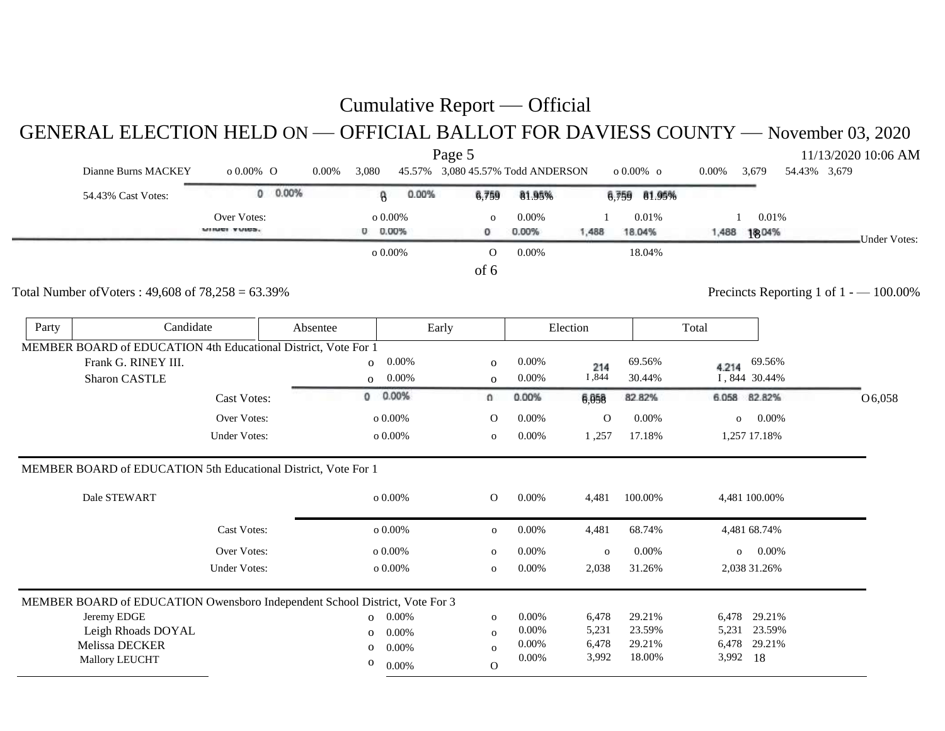GENERAL ELECTION HELD ON — OFFICIAL BALLOT FOR DAVIESS COUNTY — November 03, 2020

|       |                                                                             |                     |          |                |       | Page 5                            |          |              |              |       |                          |              | 11/13/2020 10:06 AM                     |
|-------|-----------------------------------------------------------------------------|---------------------|----------|----------------|-------|-----------------------------------|----------|--------------|--------------|-------|--------------------------|--------------|-----------------------------------------|
|       | Dianne Burns MACKEY                                                         | o 0.00% O           | 0.00%    | 3,080          |       | 45.57% 3,080 45.57% Todd ANDERSON |          |              | о 0.00% о    | 0.00% | 3,679                    | 54.43% 3,679 |                                         |
|       | 54.43% Cast Votes:                                                          | $0.00\%$            |          | 8              | 0.00% | 6,759                             | 81.95%   |              | 6,759 81.95% |       |                          |              |                                         |
|       |                                                                             | Over Votes:         |          | o $0.00\%$     |       | $\Omega$                          | 0.00%    |              | 0.01%        |       | 0.01%                    |              |                                         |
|       |                                                                             | WINDS VUIDS.        |          | $0.00\%$       |       | 0                                 | 0.00%    | 1,488        | 18.04%       | 1,488 | 1804%                    |              | Under Votes:                            |
|       |                                                                             |                     |          | $o$ 0.00%      |       | $\Omega$                          | 0.00%    |              | 18.04%       |       |                          |              |                                         |
|       |                                                                             |                     |          |                |       | of 6                              |          |              |              |       |                          |              |                                         |
|       | Total Number of Voters: $49,608$ of $78,258 = 63.39\%$                      |                     |          |                |       |                                   |          |              |              |       |                          |              | Precincts Reporting 1 of $1 - 100.00\%$ |
| Party | Candidate                                                                   |                     | Absentee |                | Early |                                   |          | Election     |              | Total |                          |              |                                         |
|       | MEMBER BOARD of EDUCATION 4th Educational District, Vote For 1              |                     |          |                |       |                                   |          |              |              |       |                          |              |                                         |
|       | Frank G. RINEY III.                                                         |                     |          | $\overline{O}$ | 0.00% | $\mathbf 0$                       | $0.00\%$ | 214          | 69.56%       | 4.214 | 69.56%                   |              |                                         |
|       | <b>Sharon CASTLE</b>                                                        |                     |          | $\mathbf{O}$   | 0.00% | $\mathbf{O}$                      | 0.00%    | I,844        | 30.44%       |       | I, 844 30.44%            |              |                                         |
|       |                                                                             | <b>Cast Votes:</b>  |          | $\mathbf 0$    | 0.00% | o                                 | 0.00%    | 6,058        | 82.82%       | 6.058 | 82.82%                   |              | O6,058                                  |
|       |                                                                             | Over Votes:         |          | o $0.00\%$     |       | $\mathbf{O}$                      | 0.00%    | $\mathbf{O}$ | 0.00%        |       | 0.00%<br>$\mathbf{o}$    |              |                                         |
|       |                                                                             | <b>Under Votes:</b> |          | o $0.00\%$     |       | $\mathbf 0$                       | 0.00%    | 1,257        | 17.18%       |       | 1,257 17.18%             |              |                                         |
|       | MEMBER BOARD of EDUCATION 5th Educational District, Vote For 1              |                     |          |                |       |                                   |          |              |              |       |                          |              |                                         |
|       | Dale STEWART                                                                |                     |          | o $0.00\%$     |       | $\mathbf{O}$                      | 0.00%    | 4,481        | 100.00%      |       | 4,481 100.00%            |              |                                         |
|       |                                                                             | <b>Cast Votes:</b>  |          | $0.00\%$       |       | $\mathbf{o}$                      | 0.00%    | 4,481        | 68.74%       |       | 4,481 68.74%             |              |                                         |
|       |                                                                             | Over Votes:         |          | $0.00\%$       |       | $\mathbf{o}$                      | 0.00%    | $\mathbf O$  | 0.00%        |       | $0.00\%$<br>$\mathbf{o}$ |              |                                         |
|       |                                                                             | <b>Under Votes:</b> |          | $0.00\%$       |       | $\mathbf{o}$                      | 0.00%    | 2,038        | 31.26%       |       | 2,038 31.26%             |              |                                         |
|       | MEMBER BOARD of EDUCATION Owensboro Independent School District, Vote For 3 |                     |          |                |       |                                   |          |              |              |       |                          |              |                                         |
|       | Jeremy EDGE                                                                 |                     |          | $\Omega$       | 0.00% | $\mathbf{O}$                      | 0.00%    | 6,478        | 29.21%       |       | 6,478 29.21%             |              |                                         |
|       | Leigh Rhoads DOYAL                                                          |                     |          | $\Omega$       | 0.00% | $\mathbf{o}$                      | 0.00%    | 5,231        | 23.59%       |       | 5,231 23.59%             |              |                                         |
|       | Melissa DECKER                                                              |                     |          | $\mathbf{o}$   | 0.00% | $\mathbf{o}$                      | 0.00%    | 6,478        | 29.21%       | 6,478 | 29.21%                   |              |                                         |
|       | Mallory LEUCHT                                                              |                     |          | 0              | 0.00% | $\Omega$                          | 0.00%    | 3,992        | 18.00%       | 3,992 | 18                       |              |                                         |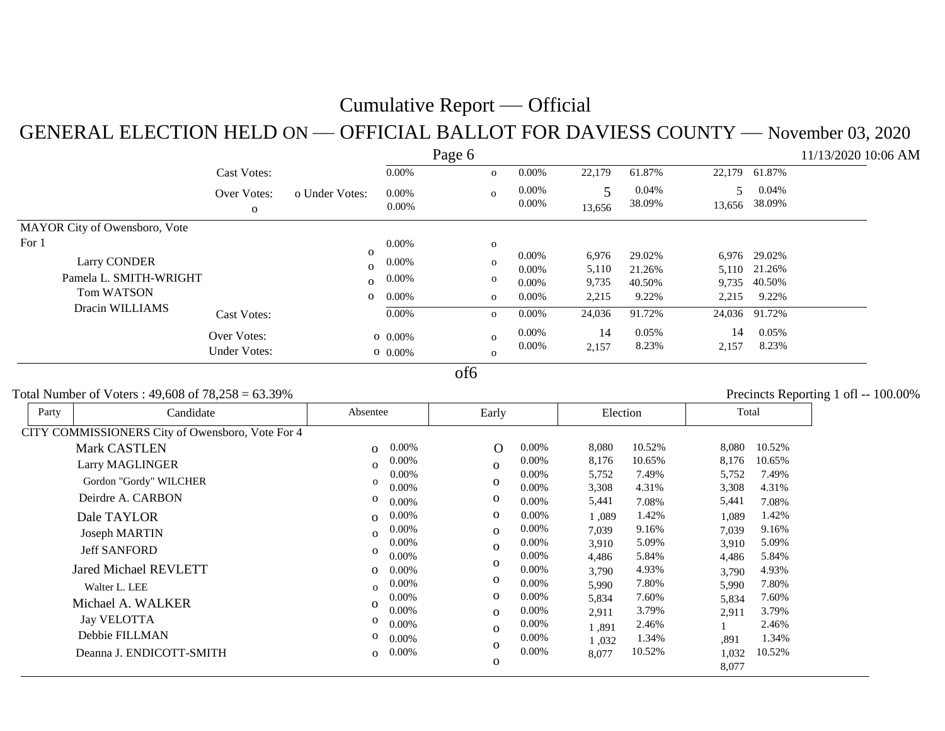#### GENERAL ELECTION HELD ON — OFFICIAL BALLOT FOR DAVIESS COUNTY — November 03, 2020

|                               |                     |                |          | Page 6 |              |          |        |        |             |               | 11/13/2020 10:06 AM |
|-------------------------------|---------------------|----------------|----------|--------|--------------|----------|--------|--------|-------------|---------------|---------------------|
|                               | <b>Cast Votes:</b>  |                | 0.00%    |        | $\mathbf 0$  | 0.00%    | 22,179 | 61.87% | 22,179      | 61.87%        |                     |
|                               | Over Votes:         | o Under Votes: | 0.00%    |        | $\mathbf{o}$ | 0.00%    | 5      | 0.04%  | $5^{\circ}$ | 0.04%         |                     |
|                               | $\mathbf{O}$        |                | $0.00\%$ |        |              | 0.00%    | 13,656 | 38.09% |             | 13,656 38.09% |                     |
| MAYOR City of Owensboro, Vote |                     |                |          |        |              |          |        |        |             |               |                     |
| For 1                         |                     |                | 0.00%    |        | $\mathbf{o}$ |          |        |        |             |               |                     |
| <b>Larry CONDER</b>           |                     | $\Omega$       | 0.00%    |        | $\Omega$     | $0.00\%$ | 6,976  | 29.02% |             | 6,976 29.02%  |                     |
|                               |                     | $\Omega$       |          |        |              | 0.00%    | 5,110  | 21.26% |             | 5,110 21.26%  |                     |
| Pamela L. SMITH-WRIGHT        |                     | $\mathbf{o}$   | 0.00%    |        | $\mathbf 0$  | $0.00\%$ | 9,735  | 40.50% |             | 9,735 40.50%  |                     |
| <b>Tom WATSON</b>             |                     | $\mathbf{O}$   | 0.00%    |        | $\mathbf{o}$ | $0.00\%$ | 2,215  | 9.22%  | 2,215       | 9.22%         |                     |
| Dracin WILLIAMS               | <b>Cast Votes:</b>  |                | 0.00%    |        | $\mathbf 0$  | $0.00\%$ | 24,036 | 91.72% |             | 24,036 91.72% |                     |
|                               | Over Votes:         |                | $0.00\%$ |        | $\mathbf{O}$ | $0.00\%$ | 14     | 0.05%  | 14          | $0.05\%$      |                     |
|                               | <b>Under Votes:</b> |                | $0.00\%$ |        |              | $0.00\%$ | 2,157  | 8.23%  | 2,157       | 8.23%         |                     |
|                               |                     |                |          |        | $\mathbf{O}$ |          |        |        |             |               |                     |

of6

#### Total Number of Voters : 49,608 of  $78.258 = 63.39\%$  Precincts Reporting 1 of  $1 - 100.00\%$

| Party | Candidate                                        | Absentee                 | Early                          | Election                         | Total                            |
|-------|--------------------------------------------------|--------------------------|--------------------------------|----------------------------------|----------------------------------|
|       | CITY COMMISSIONERS City of Owensboro, Vote For 4 |                          |                                |                                  |                                  |
|       | <b>Mark CASTLEN</b>                              | $0.00\%$<br>$\Omega$     | 0.00%<br>$\mathbf O$           | 8,080<br>10.52%                  | 8,080<br>10.52%                  |
|       | <b>Larry MAGLINGER</b>                           | $0.00\%$<br>$\Omega$     | 0.00%<br>$\mathbf{o}$          | 8,176<br>10.65%                  | 8,176<br>10.65%                  |
|       | Gordon "Gordy" WILCHER                           | $0.00\%$<br>$\mathbf{o}$ | $0.00\%$<br>$\mathbf{O}$       | 5,752<br>7.49%                   | 5,752<br>7.49%                   |
|       | Deirdre A. CARBON                                | 0.00%<br>0               | 0.00%<br>0<br>0.00%            | 3,308<br>4.31%                   | 4.31%<br>3,308                   |
|       | Dale TAYLOR                                      | $0.00\%$<br>$0.00\%$     | 0.00%<br>$\mathbf 0$           | 5,441<br>7.08%<br>1.42%<br>1,089 | 5,441<br>7.08%<br>1.42%<br>1,089 |
|       |                                                  | $\Omega$<br>0.00%        | 0.00%<br>$\mathbf{o}$          | 9.16%<br>7,039                   | 9.16%<br>7,039                   |
|       | Joseph MARTIN                                    | $\Omega$<br>0.00%        | 0.00%<br>$\Omega$              | 5.09%<br>3,910                   | 5.09%<br>3,910                   |
|       | <b>Jeff SANFORD</b>                              | 0<br>0.00%               | $0.00\%$                       | 5.84%<br>4,486                   | 5.84%<br>4,486                   |
|       | <b>Jared Michael REVLETT</b>                     | $0.00\%$<br>$\Omega$     | $\mathbf{O}$<br>0.00%          | 4.93%<br>3,790                   | 4.93%<br>3,790                   |
|       | Walter L. LEE                                    | $0.00\%$<br>$\Omega$     | $\mathbf 0$<br>0.00%           | 7.80%<br>5,990                   | 7.80%<br>5,990                   |
|       | Michael A. WALKER                                | 0.00%<br>$\Omega$        | 0.00%<br>$\mathbf{O}$          | 7.60%<br>5,834                   | 7.60%<br>5,834                   |
|       | <b>Jay VELOTTA</b>                               | $0.00\%$<br>0            | $0.00\%$<br>$\mathbf{o}$       | 3.79%<br>2,911                   | 3.79%<br>2,911                   |
|       | Debbie FILLMAN                                   | 0.00%<br>0               | 0.00%<br>$\mathbf{O}$          | 2.46%<br>1,891                   | 2.46%                            |
|       | Deanna J. ENDICOTT-SMITH                         | 0.00%<br>$0.00\%$        | 0.00%<br>$\mathbf{o}$<br>0.00% | 1.34%<br>1,032<br>10.52%         | 1.34%<br>.891<br>10.52%          |
|       |                                                  | $\Omega$                 | $\mathbf 0$                    | 8,077                            | 1,032<br>8,077                   |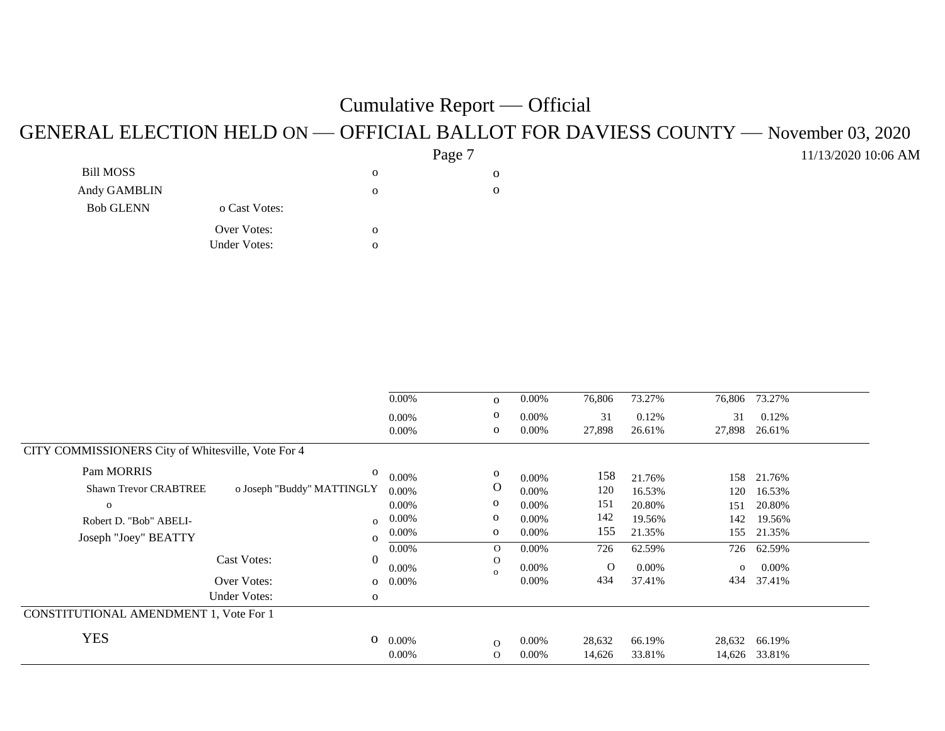#### GENERAL ELECTION HELD ON — OFFICIAL BALLOT FOR DAVIESS COUNTY — November 03, 2020

11/13/2020 10:06 AM

|                  |                     |              | Page <sup>7</sup> |  |
|------------------|---------------------|--------------|-------------------|--|
| <b>Bill MOSS</b> |                     | $\mathbf{o}$ | о                 |  |
| Andy GAMBLIN     |                     | $\Omega$     | 0                 |  |
| <b>Bob GLENN</b> | o Cast Votes:       |              |                   |  |
|                  | Over Votes:         | $\Omega$     |                   |  |
|                  | <b>Under Votes:</b> | $\Omega$     |                   |  |
|                  |                     |              |                   |  |

|                                                            | $0.00\%$ | $\mathbf{O}$ | 0.00%    | 76,806   | 73.27% | 76,806       | 73.27%   |  |
|------------------------------------------------------------|----------|--------------|----------|----------|--------|--------------|----------|--|
|                                                            | $0.00\%$ | $\mathbf{o}$ | $0.00\%$ | 31       | 0.12%  | 31           | 0.12%    |  |
|                                                            | 0.00%    | $\mathbf{O}$ | 0.00%    | 27,898   | 26.61% | 27,898       | 26.61%   |  |
| CITY COMMISSIONERS City of Whitesville, Vote For 4         |          |              |          |          |        |              |          |  |
| Pam MORRIS<br>$\mathbf{o}$                                 | 0.00%    | $\mathbf 0$  | 0.00%    | 158      | 21.76% | 158          | 21.76%   |  |
| <b>Shawn Trevor CRABTREE</b><br>o Joseph "Buddy" MATTINGLY | 0.00%    | O            | $0.00\%$ | 120      | 16.53% | 120          | 16.53%   |  |
| $\mathbf{o}$                                               | $0.00\%$ | $\mathbf{o}$ | $0.00\%$ | 151      | 20.80% | 151          | 20.80%   |  |
| Robert D. "Bob" ABELI-<br>$\overline{O}$                   | 0.00%    | $\mathbf{o}$ | 0.00%    | 142      | 19.56% | 142          | 19.56%   |  |
| Joseph "Joey" BEATTY<br>$\mathbf{O}$                       | 0.00%    | $\mathbf{o}$ | $0.00\%$ | 155      | 21.35% | 155          | 21.35%   |  |
|                                                            | $0.00\%$ | $\mathbf{O}$ | 0.00%    | 726      | 62.59% | 726          | 62.59%   |  |
| <b>Cast Votes:</b><br>$\Omega$                             | $0.00\%$ | O            | $0.00\%$ | $\Omega$ | 0.00%  | $\mathbf{o}$ | $0.00\%$ |  |
| Over Votes:<br>$\mathbf{O}$                                | $0.00\%$ | $\Omega$     | $0.00\%$ | 434      | 37.41% | 434          | 37.41%   |  |
| <b>Under Votes:</b><br>$\mathbf{O}$                        |          |              |          |          |        |              |          |  |
| CONSTITUTIONAL AMENDMENT 1, Vote For 1                     |          |              |          |          |        |              |          |  |
| <b>YES</b><br>О                                            | 0.00%    | $\Omega$     | $0.00\%$ | 28,632   | 66.19% | 28,632       | 66.19%   |  |
|                                                            | $0.00\%$ | $\Omega$     | 0.00%    | 14,626   | 33.81% | 14,626       | 33.81%   |  |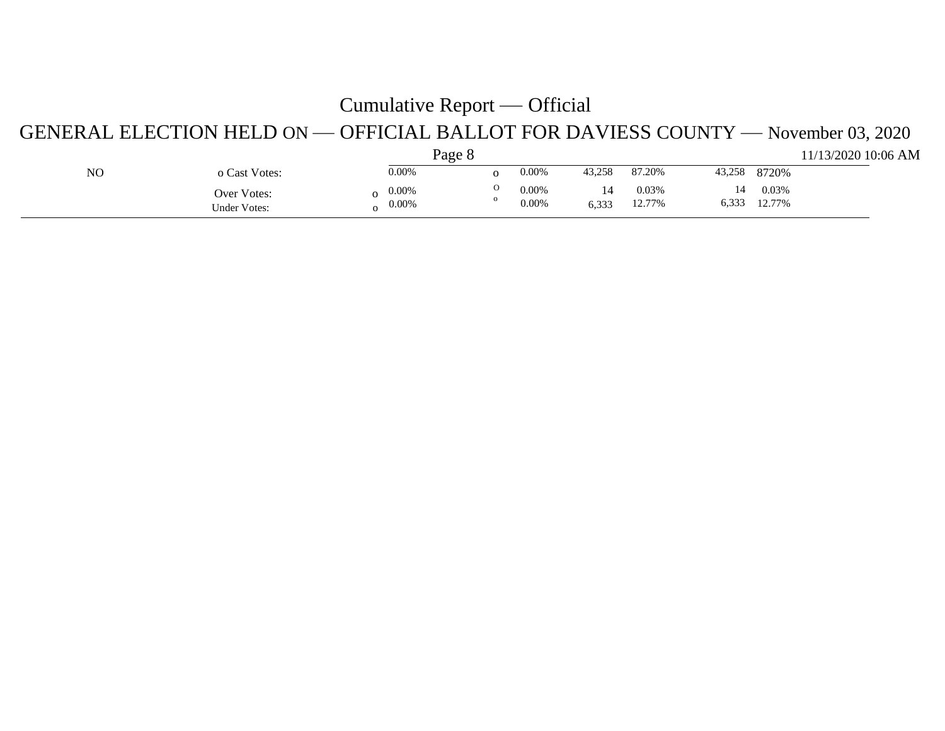#### GENERAL ELECTION HELD ON — OFFICIAL BALLOT FOR DAVIESS COUNTY — November 03, 2020

|    |                             | Page 8                           |          |                   |        |                 |        |                       | 11/13/2020 10:06 AM |
|----|-----------------------------|----------------------------------|----------|-------------------|--------|-----------------|--------|-----------------------|---------------------|
| NO | o Cast Votes:               | 0.00%                            | 0        | 0.00%             | 43,258 | 87.20%          | 43,258 | 8720%                 |                     |
|    | Over Votes:<br>Under Votes: | $0.00\%$<br>$\Omega$<br>$0.00\%$ | $\Omega$ | $0.00\%$<br>0.00% | 6,333  | 0.03%<br>12.77% | 14     | 0.03%<br>6,333 12.77% |                     |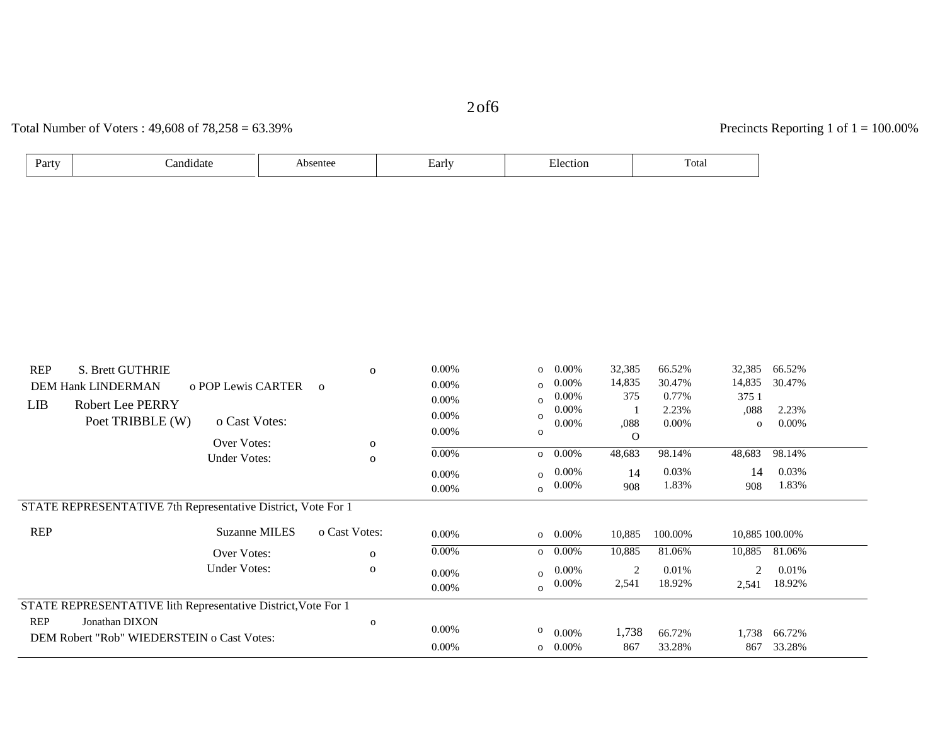2of6

#### Total Number of Voters : 49,608 of 78,258 = 63.39% Precincts Reporting 1 of 1 = 100.00%

| Party<br>`andıdate | sentee | ∟arlv | etior.<br>.<br>. | $\sim$<br>Total |
|--------------------|--------|-------|------------------|-----------------|
|--------------------|--------|-------|------------------|-----------------|

| <b>REP</b><br><b>S. Brett GUTHRIE</b>                                                                                                                                       |                                    | 0                 | 0.00%                   | 0.00%<br>$\overline{O}$                   | 32,385                         | 66.52%                               | 32,385<br>66.52%                                                                 |  |
|-----------------------------------------------------------------------------------------------------------------------------------------------------------------------------|------------------------------------|-------------------|-------------------------|-------------------------------------------|--------------------------------|--------------------------------------|----------------------------------------------------------------------------------|--|
| <b>DEM Hank LINDERMAN</b>                                                                                                                                                   | o POP Lewis CARTER                 | $\mathbf{o}$      | 0.00%                   | $0.00\%$<br>$\Omega$                      | 14,835                         | 30.47%                               | 14,835<br>30.47%                                                                 |  |
| LIB<br><b>Robert Lee PERRY</b>                                                                                                                                              |                                    |                   | 0.00%                   | $0.00\%$<br>$\Omega$                      | 375                            | 0.77%                                | 375 1                                                                            |  |
|                                                                                                                                                                             |                                    |                   | 0.00%                   | 0.00%                                     |                                | 2.23%                                | 2.23%<br>,088                                                                    |  |
| Poet TRIBBLE (W)                                                                                                                                                            | o Cast Votes:                      |                   | 0.00%                   | 0.00%<br>$\mathbf{o}$                     | ,088                           | $0.00\%$                             | 0.00%<br>0                                                                       |  |
|                                                                                                                                                                             | Over Votes:                        | 0                 |                         |                                           | $\mathbf{O}$                   |                                      |                                                                                  |  |
|                                                                                                                                                                             | <b>Under Votes:</b>                | $\mathbf{O}$      | 0.00%                   | $0.00\%$                                  | 48,683                         | 98.14%                               | 48,683<br>98.14%                                                                 |  |
|                                                                                                                                                                             |                                    |                   | $0.00\%$                | $0.00\%$<br>$\Omega$                      | 14                             | 0.03%                                | 0.03%<br>14                                                                      |  |
|                                                                                                                                                                             |                                    |                   | 0.00%                   | 0.00%<br>$\Omega$                         | 908                            | 1.83%                                | 1.83%<br>908                                                                     |  |
| <b>REP</b>                                                                                                                                                                  | Suzanne MILES                      | o Cast Votes:     |                         |                                           |                                |                                      |                                                                                  |  |
|                                                                                                                                                                             |                                    |                   |                         |                                           |                                |                                      |                                                                                  |  |
|                                                                                                                                                                             |                                    |                   |                         |                                           |                                |                                      |                                                                                  |  |
|                                                                                                                                                                             |                                    |                   | 0.00%                   |                                           |                                |                                      |                                                                                  |  |
|                                                                                                                                                                             |                                    |                   | 0.00%                   | $\Omega$                                  |                                |                                      |                                                                                  |  |
|                                                                                                                                                                             |                                    |                   |                         |                                           |                                |                                      |                                                                                  |  |
| <b>REP</b><br>Jonathan DIXON                                                                                                                                                |                                    | $\mathbf{o}$      |                         |                                           |                                |                                      |                                                                                  |  |
|                                                                                                                                                                             |                                    |                   |                         | $\mathbf{o}$<br>$0.00\%$                  | 1,738                          | 66.72%                               | 66.72%<br>1,738                                                                  |  |
|                                                                                                                                                                             |                                    |                   | 0.00%                   | $0.00\%$<br>$\overline{O}$                | 867                            | 33.28%                               | 33.28%<br>867                                                                    |  |
| STATE REPRESENTATIVE 7th Representative District, Vote For 1<br>STATE REPRESENTATIVE lith Representative District, Vote For 1<br>DEM Robert "Rob" WIEDERSTEIN o Cast Votes: | Over Votes:<br><b>Under Votes:</b> | $\mathbf{o}$<br>0 | 0.00%<br>0.00%<br>0.00% | $0.00\%$<br>$0.00\%$<br>$0.00\%$<br>0.00% | 10,885<br>10,885<br>2<br>2,541 | 100.00%<br>81.06%<br>0.01%<br>18.92% | 10,885 100.00%<br>10,885<br>81.06%<br>0.01%<br>$\overline{c}$<br>18.92%<br>2,541 |  |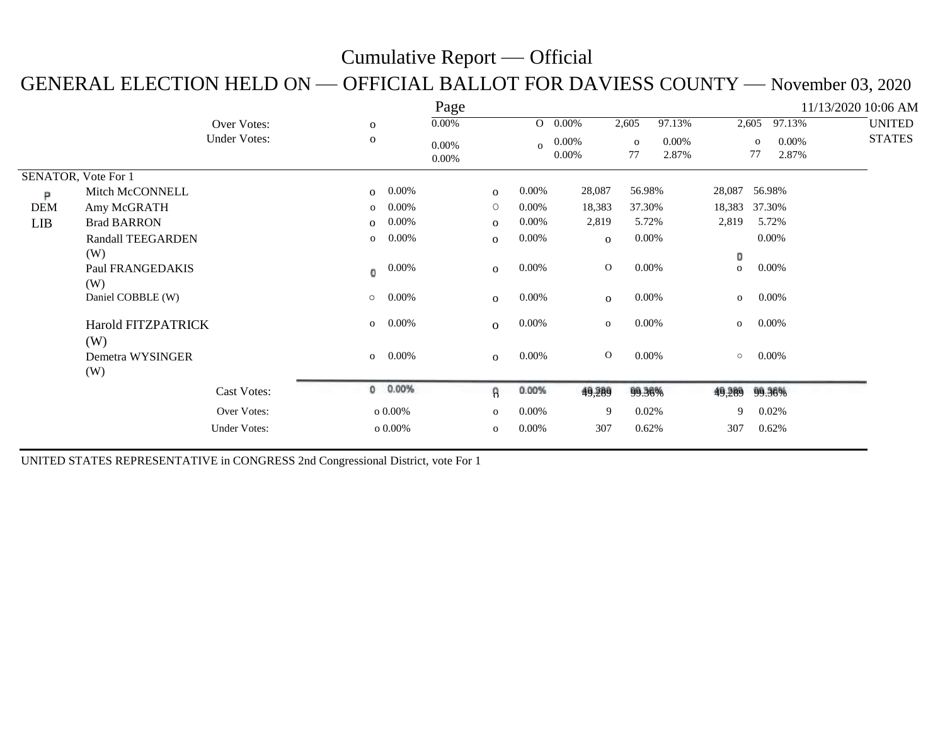#### GENERAL ELECTION HELD ON — OFFICIAL BALLOT FOR DAVIESS COUNTY — November 03, 2020

|                     |                                  |                     |              |          | Page                 |                |              |                |                    |                   |               |                    |                   | 11/13/2020 10:06 AM |               |
|---------------------|----------------------------------|---------------------|--------------|----------|----------------------|----------------|--------------|----------------|--------------------|-------------------|---------------|--------------------|-------------------|---------------------|---------------|
|                     |                                  | Over Votes:         | $\mathbf{o}$ |          | $0.00\%$             |                | $\mathbf{O}$ | $0.00\%$       | 2,605              | 97.13%            |               | 2,605              | 97.13%            |                     | <b>UNITED</b> |
|                     |                                  | <b>Under Votes:</b> | $\mathbf 0$  |          | $0.00\%$<br>$0.00\%$ |                | $\Omega$     | 0.00%<br>0.00% | $\mathbf{o}$<br>77 | $0.00\%$<br>2.87% |               | $\mathbf{o}$<br>77 | $0.00\%$<br>2.87% |                     | <b>STATES</b> |
| SENATOR, Vote For 1 |                                  |                     |              |          |                      |                |              |                |                    |                   |               |                    |                   |                     |               |
| Р                   | Mitch McCONNELL                  |                     | $\mathbf{o}$ | $0.00\%$ |                      | $\mathbf{O}$   | $0.00\%$     | 28,087         | 56.98%             |                   | 28,087 56.98% |                    |                   |                     |               |
| <b>DEM</b>          | Amy McGRATH                      |                     | $\mathbf{o}$ | 0.00%    |                      | $\circ$        | $0.00\%$     | 18,383         | 37.30%             |                   | 18,383        | 37.30%             |                   |                     |               |
| LIB                 | <b>Brad BARRON</b>               |                     | $\mathbf{O}$ | 0.00%    |                      | $\mathbf{O}$   | $0.00\%$     | 2,819          | 5.72%              |                   | 2,819         | 5.72%              |                   |                     |               |
|                     | <b>Randall TEEGARDEN</b>         |                     | $\mathbf{o}$ | $0.00\%$ |                      | $\mathbf{O}$   | $0.00\%$     | $\mathbf{o}$   | $0.00\%$           |                   |               | $0.00\%$           |                   |                     |               |
|                     | (W)                              |                     |              |          |                      |                |              |                |                    |                   | 0             |                    |                   |                     |               |
|                     | Paul FRANGEDAKIS<br>(W)          |                     | 0            | 0.00%    |                      | $\mathbf{O}$   | 0.00%        | $\mathbf{O}$   | $0.00\%$           |                   | $\mathbf{o}$  | $0.00\%$           |                   |                     |               |
|                     | Daniel COBBLE (W)                |                     | $\circ$      | 0.00%    |                      | $\mathbf{O}$   | $0.00\%$     | $\mathbf{O}$   | $0.00\%$           |                   | $\mathbf{o}$  | $0.00\%$           |                   |                     |               |
|                     | <b>Harold FITZPATRICK</b><br>(W) |                     | $\mathbf{o}$ | 0.00%    |                      | $\overline{O}$ | 0.00%        | $\mathbf{O}$   | $0.00\%$           |                   | $\mathbf{O}$  | $0.00\%$           |                   |                     |               |
|                     | Demetra WYSINGER<br>(W)          |                     | $\mathbf{O}$ | 0.00%    |                      | $\mathbf{O}$   | $0.00\%$     | $\mathbf{O}$   | $0.00\%$           |                   | $\circ$       | $0.00\%$           |                   |                     |               |
|                     |                                  | <b>Cast Votes:</b>  |              | 0 0.00%  |                      | 8              | 0.00%        | 49,289         | 99.36%             |                   | 49,289        | 99.36%             |                   |                     |               |
|                     |                                  | Over Votes:         | $0.00\%$     |          |                      | $\mathbf{o}$   | 0.00%        | 9              | 0.02%              |                   | 9             | 0.02%              |                   |                     |               |
|                     |                                  | <b>Under Votes:</b> |              | $0.00\%$ |                      | $\mathbf{o}$   | $0.00\%$     | 307            | 0.62%              |                   | 307           | 0.62%              |                   |                     |               |

UNITED STATES REPRESENTATIVE in CONGRESS 2nd Congressional District, vote For 1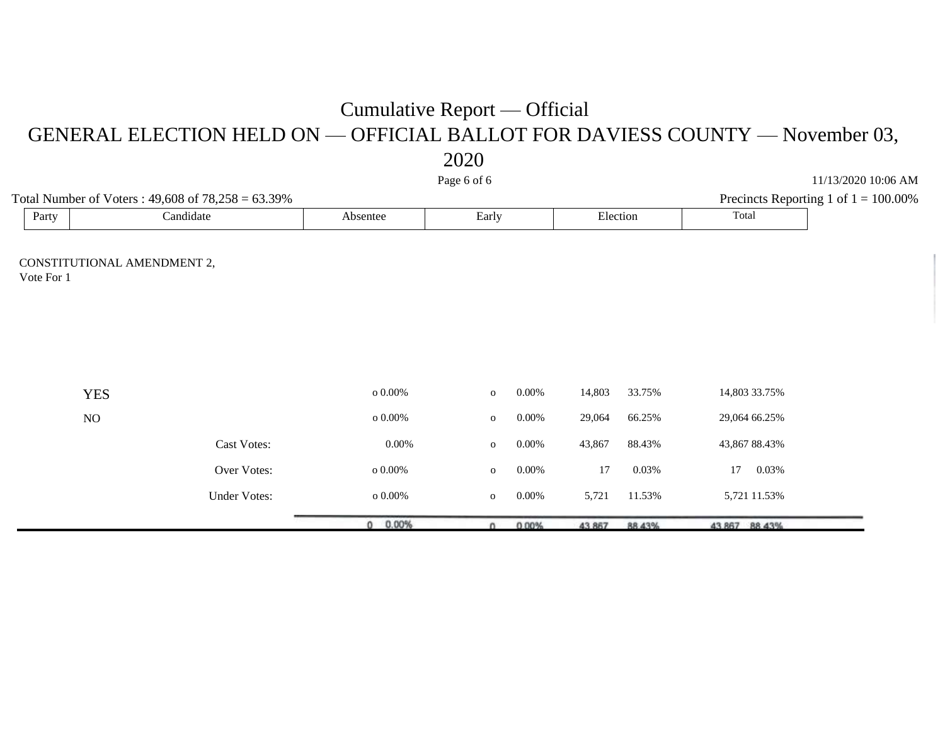GENERAL ELECTION HELD ON — OFFICIAL BALLOT FOR DAVIESS COUNTY — November 03, 2020

|                                           |                                                        |            | ---          |          |          |        |               |               |                                         |
|-------------------------------------------|--------------------------------------------------------|------------|--------------|----------|----------|--------|---------------|---------------|-----------------------------------------|
|                                           |                                                        |            | Page 6 of 6  |          |          |        |               |               | 11/13/2020 10:06 AM                     |
|                                           | Total Number of Voters: $49,608$ of $78,258 = 63.39\%$ |            |              |          |          |        |               |               | Precincts Reporting 1 of $1 = 100.00\%$ |
| Party                                     | Candidate                                              | Absentee   | Early        |          | Election |        | Total         |               |                                         |
| CONSTITUTIONAL AMENDMENT 2,<br>Vote For 1 |                                                        |            |              |          |          |        |               |               |                                         |
|                                           |                                                        |            |              |          |          |        |               |               |                                         |
|                                           |                                                        |            |              |          |          |        |               |               |                                         |
| <b>YES</b>                                |                                                        | o $0.00\%$ | $\mathbf{o}$ | 0.00%    | 14,803   | 33.75% |               | 14,803 33.75% |                                         |
| NO                                        |                                                        | o $0.00\%$ | $\mathbf{o}$ | $0.00\%$ | 29,064   | 66.25% |               | 29,064 66.25% |                                         |
|                                           | <b>Cast Votes:</b>                                     | $0.00\%$   | $\mathbf O$  | $0.00\%$ | 43,867   | 88.43% |               | 43,867 88.43% |                                         |
|                                           | Over Votes:                                            | o $0.00\%$ | $\mathbf O$  | $0.00\%$ | 17       | 0.03%  | 17            | 0.03%         |                                         |
|                                           | <b>Under Votes:</b>                                    | o $0.00\%$ | $\mathbf 0$  | $0.00\%$ | 5,721    | 11.53% |               | 5,721 11.53%  |                                         |
|                                           |                                                        | $0 0.00\%$ | $\Omega$     | 0.00%    | 43.867   | 88.43% | 43.867 88.43% |               |                                         |